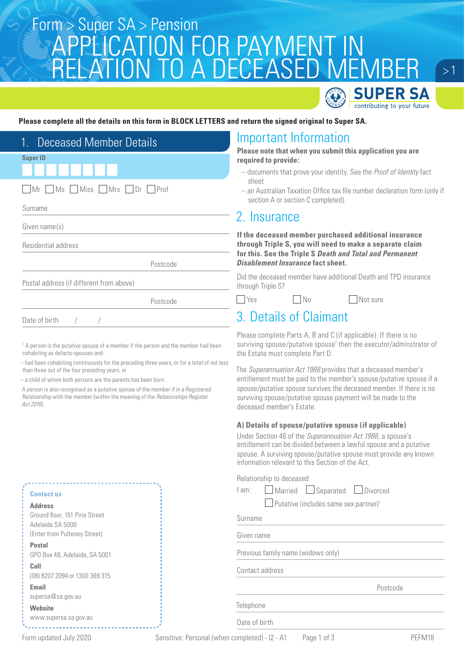## Super SA > Pension<br>CONTIONIONICONICOD DAVA AENIT INI APPLICATION FOR PAYMENT IN RELATION TO A DECEASED MEMBER

 $>1$ 

SUPER SA contributing to your future

#### **Please complete all the details on this form in BLOCK LETTERS and return the signed original to Super SA.**

| <b>Deceased Member Details</b><br>$1_{-}$ | Imp                              |
|-------------------------------------------|----------------------------------|
| <b>Super ID</b>                           | <b>Pleas</b><br>requil<br>$-$ do |
| Mr Ms Miss Mrs Dr Prof                    | sh<br>$-$ an<br>se               |
| Surname                                   |                                  |
| Given name(s)                             | 2.1<br>If the                    |
| Residential address                       | throu<br>for th                  |
| Postcode                                  | Disab                            |
| Postal address (if different from above)  | Did the<br>throug                |
| Postcode                                  | Ye:                              |
| Date of birth                             |                                  |

<sup>1</sup> A person is the putative spouse of a member if the person and the member had been cohabiting as defacto spouses and:

– had been cohabiting continuously for the preceding three years, or for a total of not less than three out of the four preceding years, or

– a child of whom both persons are the parents has been born.

A person is also recognised as a putative spouse of the member if in a Registered Relationship with the member (within the meaning of the *Relationships Register Act 2016*).

|                                                    | <u>THOLITIQUULI IUIUVAITU UU UHO OUUUUI UL UF</u>                     |  |
|----------------------------------------------------|-----------------------------------------------------------------------|--|
| <b>Contactus</b>                                   | Relationship to deceased<br>$\Box$ Married<br>am:<br>$\Box$ Separated |  |
| <b>Address</b>                                     | $\Box$ Putative (includes same sex                                    |  |
| Ground floor, 151 Pirie Street<br>Adelaide SA 5000 | Surname                                                               |  |
| (Enter from Pulteney Street)                       | Given name                                                            |  |
| <b>Postal</b>                                      |                                                                       |  |
| GPO Box 48, Adelaide, SA 5001                      | Previous family name (widows only)                                    |  |
| Call<br>(08) 8207 2094 or 1300 369 315             | Contact address                                                       |  |
| Email                                              |                                                                       |  |
| supersa@sa.gov.au                                  |                                                                       |  |
| <b>Website</b>                                     | Telephone                                                             |  |
| www.supersa.sa.gov.au<br>Date of birth             |                                                                       |  |

## **Information**

**e** note that when you submit this application you are red to provide:

- cuments that prove your identity. See the *Proof of Identity* fact eet
- Australian Taxation Office tax file number declaration form (only if ction A or section C completed).

### nsurance

**If the deceased member purchased additional insurance through Triple S, you will need to make a separate claim for this. See the Triple S** *Death and Total and Permanent Disablement Insurance* **fact sheet.**

e deceased member have additional Death and TPD insurance th Triple S?

 $\n  $\sqrt{\phantom{a}}$  Not sure$ 

### 3. Details of Claimant

Please complete Parts A, B and C (if applicable). If there is no surviving spouse/putative spouse<sup>1</sup> then the executor/adminstrator of the Estate must complete Part D.

The *Superannuation Act 1988* provides that a deceased member's entitlement must be paid to the member's spouse/putative spouse if a spouse/putative spouse survives the deceased member. If there is no surviving spouse/putative spouse payment will be made to the deceased member's Estate.

#### **A) Details of spouse/putative spouse (if applicable)**

Under Section 46 of the *Superannuation Act 1988*, a spouse's entitlement can be divided between a lawful spouse and a putative spouse. A surviving spouse/putative spouse must provide any known information relevant to this Section of the Act.

| $\Box$ Married<br>I am: | $\Box$ Separated | Divorced |
|-------------------------|------------------|----------|
|-------------------------|------------------|----------|

 $partner$ <sup>1</sup>

Postcode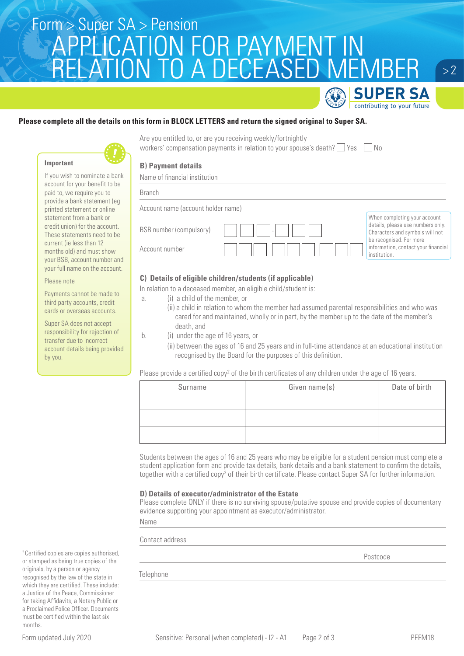## Super SA > Pension<br>CONTIONIONICONICOD DAVA AENIT INI APPLICATION FOR PAYMENT IN RELATION TO A DECEASED MEMBER

Are you entitled to, or are you receiving weekly/fortnightly

workers' compensation payments in relation to your spouse's death?  $\Box$  Yes  $\Box$  No





Please note

by you.

Payments cannot be made to third party accounts, credit cards or overseas accounts. Super SA does not accept responsibility for rejection of transfer due to incorrect account details being provided

If you wish to nominate a bank account for your benefit to be paid to, we require you to provide a bank statement (eg printed statement or online statement from a bank or credit union) for the account. These statements need to be current (ie less than 12 months old) and must show your BSB, account number and your full name on the account.

**B) Payment details**

Name of financial institution

| <b>Branch</b>                      |                                                                                                      |
|------------------------------------|------------------------------------------------------------------------------------------------------|
| Account name (account holder name) |                                                                                                      |
| BSB number (compulsory)            | When completing your account<br>details, please use numbers only.<br>Characters and symbols will not |
| Account number                     | be recognised. For more<br>information, contact your financial<br>institution.                       |

#### **C) Details of eligible children/students (if applicable)**

In relation to a deceased member, an eligible child/student is:

- a. (i) a child of the member, or
	- (ii) a child in relation to whom the member had assumed parental responsibilities and who was cared for and maintained, wholly or in part, by the member up to the date of the member's death, and
- b. (i) under the age of 16 years, or
	- (ii) between the ages of 16 and 25 years and in full-time attendance at an educational institution recognised by the Board for the purposes of this definition.

Please provide a certified copy<sup>2</sup> of the birth certificates of any children under the age of 16 years.

| Surname | Given name(s) | Date of birth |
|---------|---------------|---------------|
|         |               |               |
|         |               |               |
|         |               |               |
|         |               |               |

Students between the ages of 16 and 25 years who may be eligible for a student pension must complete a student application form and provide tax details, bank details and a bank statement to confirm the details, together with a certified copy<sup>2</sup> of their birth certificate. Please contact Super SA for further information.

#### **D) Details of executor/administrator of the Estate**

Please complete ONLY if there is no surviving spouse/putative spouse and provide copies of documentary evidence supporting your appointment as executor/administrator.

Name

Contact address

**Postcode Postcode** 

**Telephone** 

2 Certified copies are copies authorised, or stamped as being true copies of the originals, by a person or agency recognised by the law of the state in which they are certified. These include: a Justice of the Peace, Commissioner for taking Affidavits, a Notary Public or a Proclaimed Police Officer. Documents must be certified within the last six months.

 $> 2$ 

**SUPER SA** contributing to your future